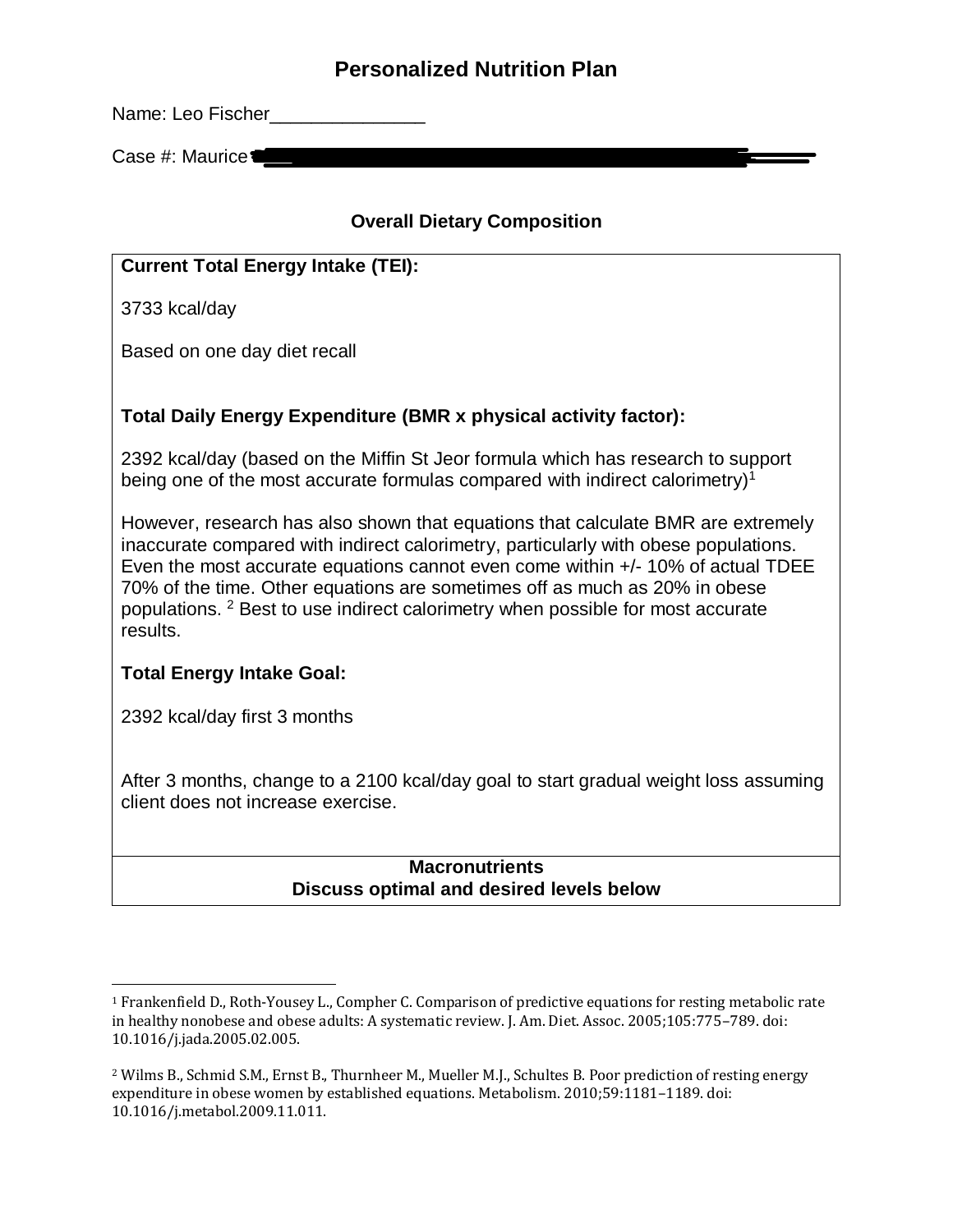Name: Leo Fischer

Case  $#$ : Maurice $\square$ 

#### **Overall Dietary Composition**

#### **Current Total Energy Intake (TEI):**

3733 kcal/day

Based on one day diet recall

#### **Total Daily Energy Expenditure (BMR x physical activity factor):**

2392 kcal/day (based on the Miffin St Jeor formula which has research to support being one of the most accurate formulas compared with indirect calorimetry)<sup>1</sup>

However, research has also shown that equations that calculate BMR are extremely inaccurate compared with indirect calorimetry, particularly with obese populations. Even the most accurate equations cannot even come within +/- 10% of actual TDEE 70% of the time. Other equations are sometimes off as much as 20% in obese populations. <sup>2</sup> Best to use indirect calorimetry when possible for most accurate results.

#### **Total Energy Intake Goal:**

2392 kcal/day first 3 months

l

After 3 months, change to a 2100 kcal/day goal to start gradual weight loss assuming client does not increase exercise.

#### **Macronutrients Discuss optimal and desired levels below**

<sup>1</sup> Frankenfield D., Roth-Yousey L., Compher C. Comparison of predictive equations for resting metabolic rate in healthy nonobese and obese adults: A systematic review. J. Am. Diet. Assoc. 2005;105:775–789. doi: 10.1016/j.jada.2005.02.005.

<sup>2</sup> Wilms B., Schmid S.M., Ernst B., Thurnheer M., Mueller M.J., Schultes B. Poor prediction of resting energy expenditure in obese women by established equations. Metabolism. 2010;59:1181–1189. doi: 10.1016/j.metabol.2009.11.011.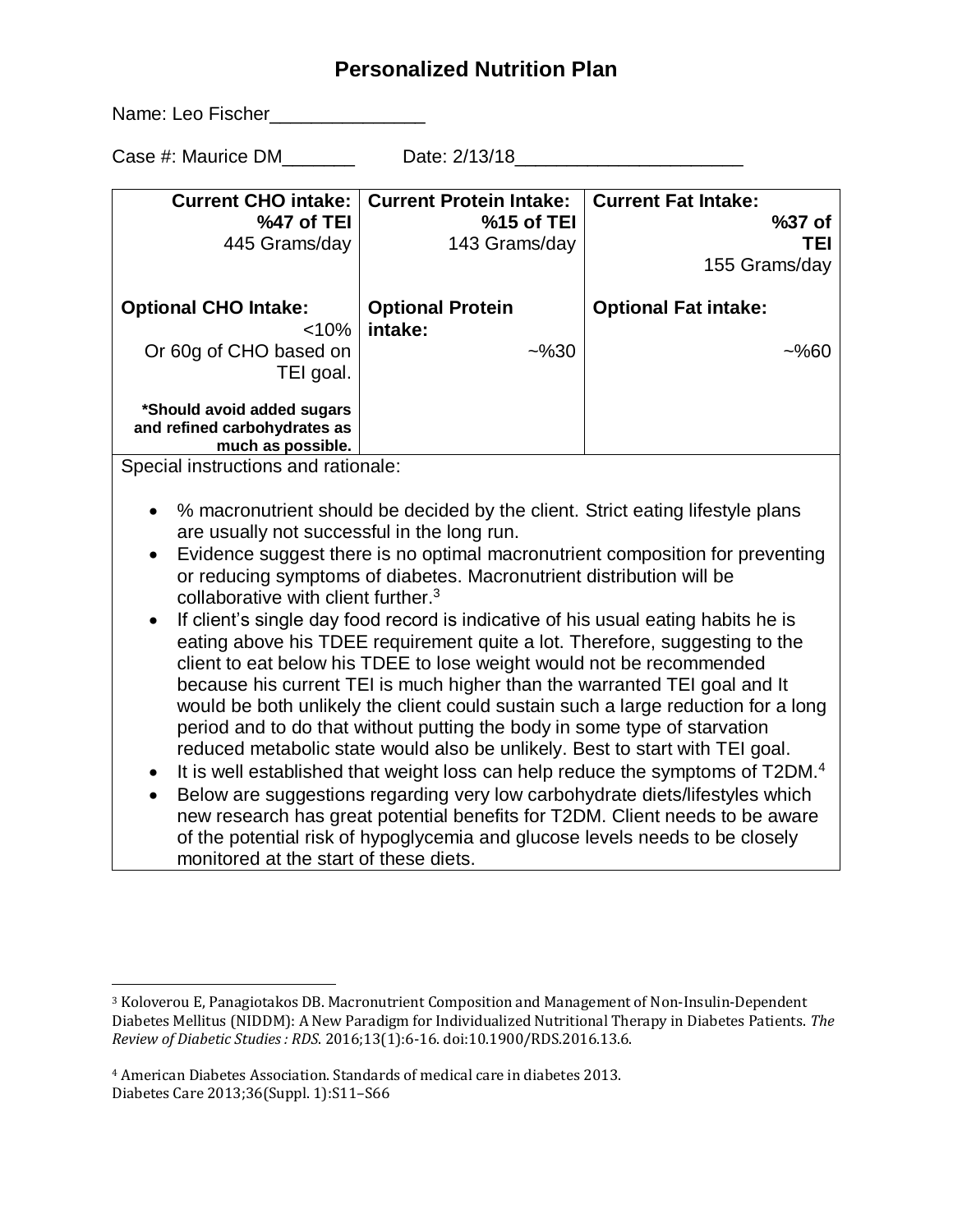Name: Leo Fischer\_\_\_\_\_\_\_\_\_\_\_\_\_\_\_\_\_

l

Case #: Maurice DM\_\_\_\_\_\_\_ Date: 2/13/18\_\_\_\_\_\_\_\_\_\_\_\_\_\_\_\_\_\_\_\_\_\_

| <b>Current CHO intake:</b><br>%47 of TEI<br>445 Grams/day                                                                                                                                                                                                                                                                                                                                                                                                                                                                                                                                                                                                                                                                                                                                                                                                                                                                                                                                                                                                                                                                                                                                                                                                                                                                                                                                  | <b>Current Protein Intake:</b><br>%15 of TEI<br>143 Grams/day | <b>Current Fat Intake:</b><br>%37 of<br>TEI<br>155 Grams/day |
|--------------------------------------------------------------------------------------------------------------------------------------------------------------------------------------------------------------------------------------------------------------------------------------------------------------------------------------------------------------------------------------------------------------------------------------------------------------------------------------------------------------------------------------------------------------------------------------------------------------------------------------------------------------------------------------------------------------------------------------------------------------------------------------------------------------------------------------------------------------------------------------------------------------------------------------------------------------------------------------------------------------------------------------------------------------------------------------------------------------------------------------------------------------------------------------------------------------------------------------------------------------------------------------------------------------------------------------------------------------------------------------------|---------------------------------------------------------------|--------------------------------------------------------------|
| <b>Optional CHO Intake:</b><br>< 10%                                                                                                                                                                                                                                                                                                                                                                                                                                                                                                                                                                                                                                                                                                                                                                                                                                                                                                                                                                                                                                                                                                                                                                                                                                                                                                                                                       | <b>Optional Protein</b><br>intake:                            | <b>Optional Fat intake:</b>                                  |
| Or 60g of CHO based on<br>TEI goal.                                                                                                                                                                                                                                                                                                                                                                                                                                                                                                                                                                                                                                                                                                                                                                                                                                                                                                                                                                                                                                                                                                                                                                                                                                                                                                                                                        | ~2%30                                                         | ~2%60                                                        |
| *Should avoid added sugars<br>and refined carbohydrates as<br>much as possible.                                                                                                                                                                                                                                                                                                                                                                                                                                                                                                                                                                                                                                                                                                                                                                                                                                                                                                                                                                                                                                                                                                                                                                                                                                                                                                            |                                                               |                                                              |
| Special instructions and rationale:<br>% macronutrient should be decided by the client. Strict eating lifestyle plans<br>$\bullet$<br>are usually not successful in the long run.<br>Evidence suggest there is no optimal macronutrient composition for preventing<br>or reducing symptoms of diabetes. Macronutrient distribution will be<br>collaborative with client further. <sup>3</sup><br>If client's single day food record is indicative of his usual eating habits he is<br>eating above his TDEE requirement quite a lot. Therefore, suggesting to the<br>client to eat below his TDEE to lose weight would not be recommended<br>because his current TEI is much higher than the warranted TEI goal and It<br>would be both unlikely the client could sustain such a large reduction for a long<br>period and to do that without putting the body in some type of starvation<br>reduced metabolic state would also be unlikely. Best to start with TEI goal.<br>It is well established that weight loss can help reduce the symptoms of T2DM. <sup>4</sup><br>$\bullet$<br>Below are suggestions regarding very low carbohydrate diets/lifestyles which<br>$\bullet$<br>new research has great potential benefits for T2DM. Client needs to be aware<br>of the potential risk of hypoglycemia and glucose levels needs to be closely<br>monitored at the start of these diets. |                                                               |                                                              |

<sup>&</sup>lt;sup>3</sup> Koloverou E, Panagiotakos DB. Macronutrient Composition and Management of Non-Insulin-Dependent Diabetes Mellitus (NIDDM): A New Paradigm for Individualized Nutritional Therapy in Diabetes Patients. *The Review of Diabetic Studies : RDS*. 2016;13(1):6-16. doi:10.1900/RDS.2016.13.6.

<sup>4</sup> American Diabetes Association. Standards of medical care in diabetes 2013. Diabetes Care 2013;36(Suppl. 1):S11–S66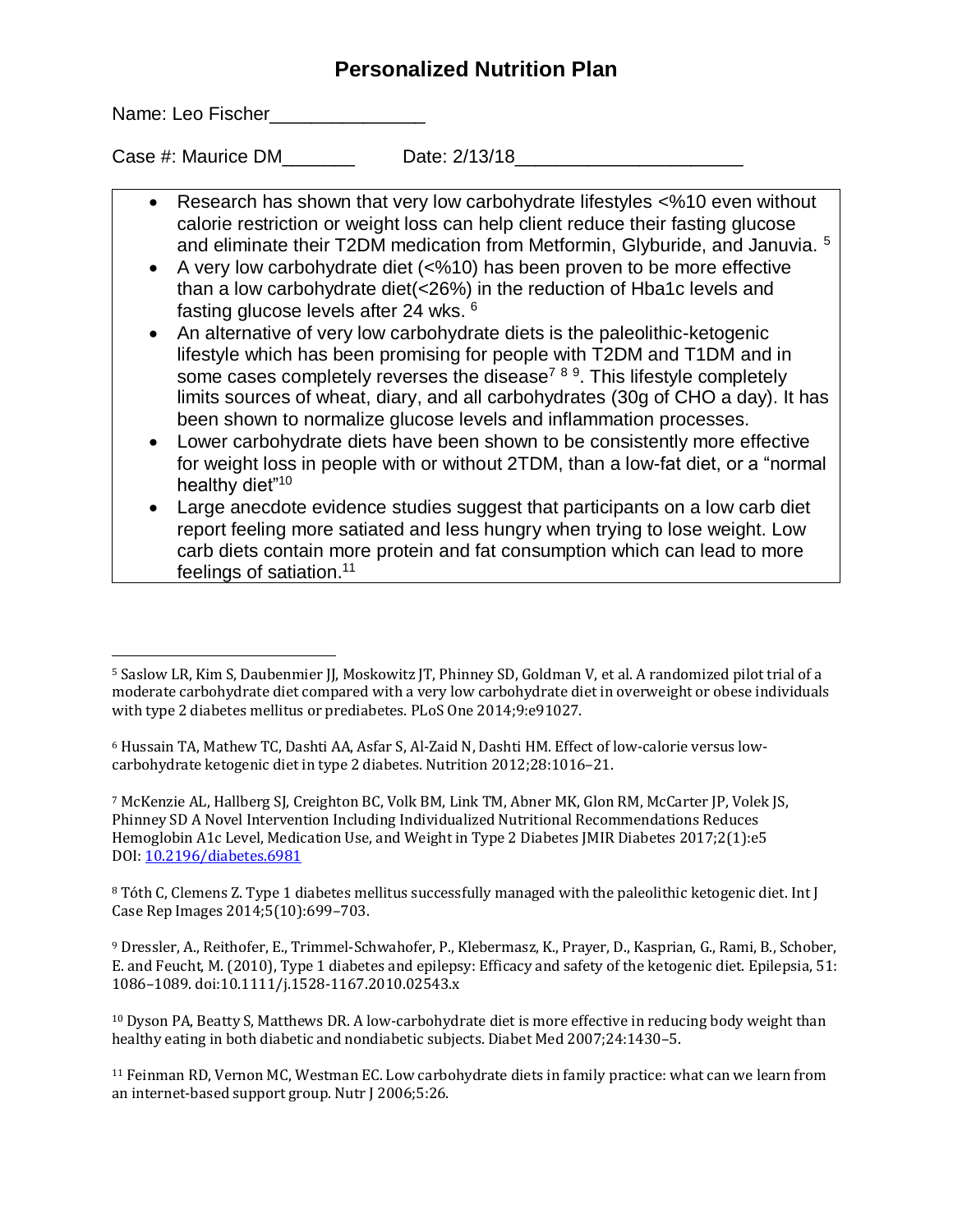Name: Leo Fischer\_\_\_\_\_\_\_\_\_\_\_\_\_\_\_\_\_\_

l

Case #: Maurice DM Date: 2/13/18

- Research has shown that very low carbohydrate lifestyles <%10 even without calorie restriction or weight loss can help client reduce their fasting glucose and eliminate their T2DM medication from Metformin, Glyburide, and Januvia.<sup>5</sup>
- A very low carbohydrate diet ( $\leq 0.610$ ) has been proven to be more effective than a low carbohydrate diet(<26%) in the reduction of Hba1c levels and fasting glucose levels after 24 wks. <sup>6</sup>
- An alternative of very low carbohydrate diets is the paleolithic-ketogenic lifestyle which has been promising for people with T2DM and T1DM and in some cases completely reverses the disease<sup>7 8 9</sup>. This lifestyle completely limits sources of wheat, diary, and all carbohydrates (30g of CHO a day). It has been shown to normalize glucose levels and inflammation processes.
- Lower carbohydrate diets have been shown to be consistently more effective for weight loss in people with or without 2TDM, than a low-fat diet, or a "normal healthy diet"<sup>10</sup>
- Large anecdote evidence studies suggest that participants on a low carb diet report feeling more satiated and less hungry when trying to lose weight. Low carb diets contain more protein and fat consumption which can lead to more feelings of satiation. 11

<sup>7</sup> McKenzie AL, Hallberg SJ, Creighton BC, Volk BM, Link TM, Abner MK, Glon RM, McCarter JP, Volek JS, Phinney SD A Novel Intervention Including Individualized Nutritional Recommendations Reduces Hemoglobin A1c Level, Medication Use, and Weight in Type 2 Diabetes JMIR Diabetes 2017;2(1):e5 DOI[: 10.2196/diabetes.6981](http://doi.org/10.2196/diabetes.6981)

8 Tóth C, Clemens Z. Type 1 diabetes mellitus successfully managed with the paleolithic ketogenic diet. Int J Case Rep Images 2014;5(10):699–703.

<sup>9</sup> Dressler, A., Reithofer, E., Trimmel-Schwahofer, P., Klebermasz, K., Prayer, D., Kasprian, G., Rami, B., Schober, E. and Feucht, M. (2010), Type 1 diabetes and epilepsy: Efficacy and safety of the ketogenic diet. Epilepsia, 51: 1086–1089. doi:10.1111/j.1528-1167.2010.02543.x

<sup>10</sup> Dyson PA, Beatty S, Matthews DR. A low-carbohydrate diet is more effective in reducing body weight than healthy eating in both diabetic and nondiabetic subjects. Diabet Med 2007;24:1430–5.

<sup>11</sup> Feinman RD, Vernon MC, Westman EC. Low carbohydrate diets in family practice: what can we learn from an internet-based support group. Nutr J 2006;5:26.

<sup>&</sup>lt;sup>5</sup> Saslow LR, Kim S, Daubenmier JJ, Moskowitz JT, Phinney SD, Goldman V, et al. A randomized pilot trial of a moderate carbohydrate diet compared with a very low carbohydrate diet in overweight or obese individuals with type 2 diabetes mellitus or prediabetes. PLoS One 2014;9:e91027.

<sup>6</sup> Hussain TA, Mathew TC, Dashti AA, Asfar S, Al-Zaid N, Dashti HM. Effect of low-calorie versus lowcarbohydrate ketogenic diet in type 2 diabetes. Nutrition 2012;28:1016–21.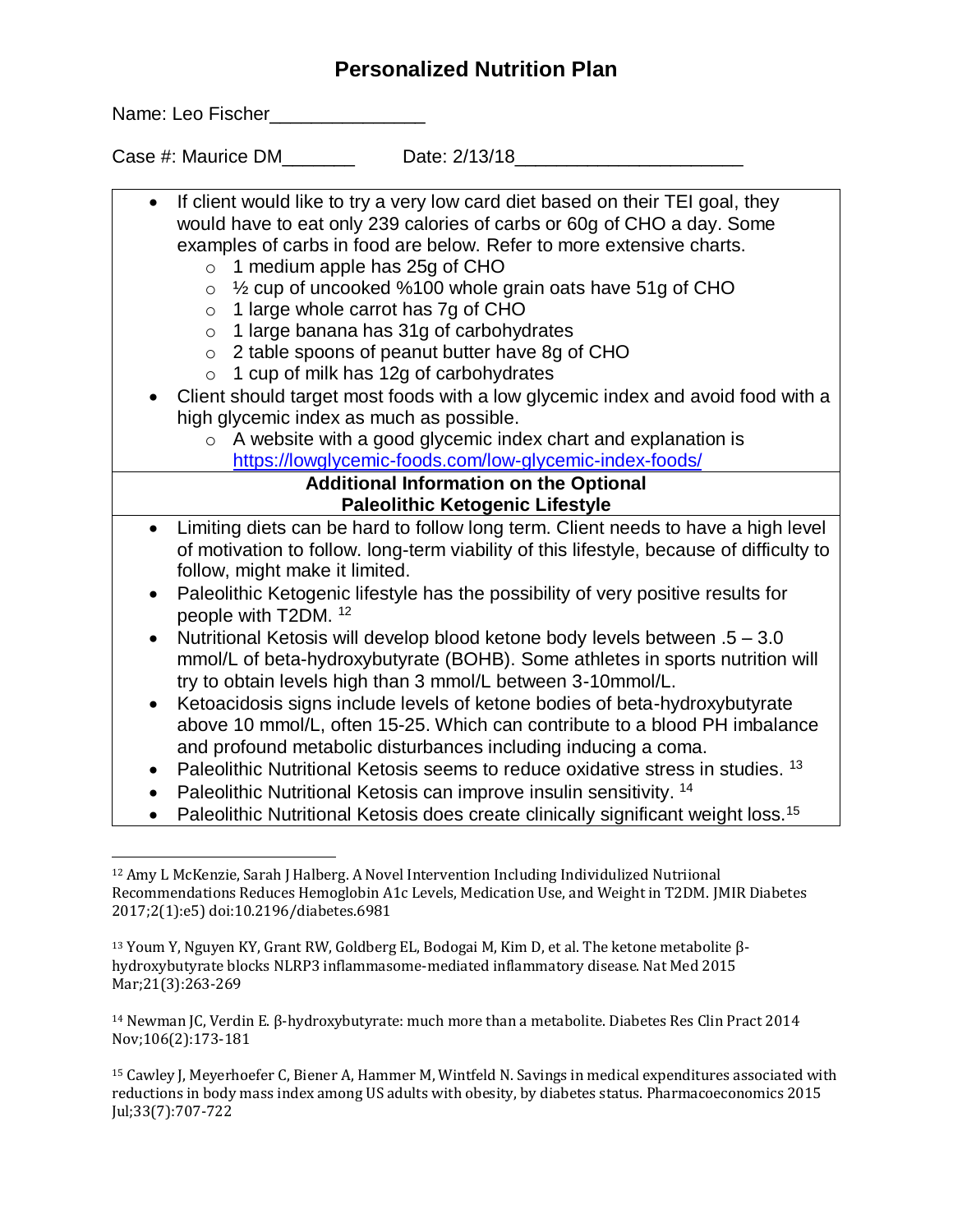Name: Leo Fischer\_\_\_\_\_\_\_\_\_\_\_\_\_\_\_\_\_\_

Case #: Maurice DM Date: 2/13/18

- If client would like to try a very low card diet based on their TEI goal, they would have to eat only 239 calories of carbs or 60g of CHO a day. Some examples of carbs in food are below. Refer to more extensive charts.
	- $\circ$  1 medium apple has 25g of CHO
	- $\circ$  1/<sub>2</sub> cup of uncooked %100 whole grain oats have 51g of CHO
	- o 1 large whole carrot has 7g of CHO
	- o 1 large banana has 31g of carbohydrates
	- o 2 table spoons of peanut butter have 8g of CHO
	- $\circ$  1 cup of milk has 12g of carbohydrates
- Client should target most foods with a low glycemic index and avoid food with a high glycemic index as much as possible.
	- o A website with a good glycemic index chart and explanation is <https://lowglycemic-foods.com/low-glycemic-index-foods/>

#### **Additional Information on the Optional Paleolithic Ketogenic Lifestyle**

- Limiting diets can be hard to follow long term. Client needs to have a high level of motivation to follow. long-term viability of this lifestyle, because of difficulty to follow, might make it limited.
- Paleolithic Ketogenic lifestyle has the possibility of very positive results for people with T2DM. <sup>12</sup>
- Nutritional Ketosis will develop blood ketone body levels between .5 3.0 mmol/L of beta-hydroxybutyrate (BOHB). Some athletes in sports nutrition will try to obtain levels high than 3 mmol/L between 3-10mmol/L.
- Ketoacidosis signs include levels of ketone bodies of beta-hydroxybutyrate above 10 mmol/L, often 15-25. Which can contribute to a blood PH imbalance and profound metabolic disturbances including inducing a coma.
- Paleolithic Nutritional Ketosis seems to reduce oxidative stress in studies.  $^{13}$
- Paleolithic Nutritional Ketosis can improve insulin sensitivity.  $14$
- Paleolithic Nutritional Ketosis does create clinically significant weight loss.<sup>15</sup>

<sup>14</sup> Newman JC, Verdin E. β-hydroxybutyrate: much more than a metabolite. Diabetes Res Clin Pract 2014 Nov;106(2):173-181

l <sup>12</sup> Amy L McKenzie, Sarah J Halberg. A Novel Intervention Including Individulized Nutriional Recommendations Reduces Hemoglobin A1c Levels, Medication Use, and Weight in T2DM. JMIR Diabetes 2017;2(1):e5) doi:10.2196/diabetes.6981

<sup>&</sup>lt;sup>13</sup> Youm Y, Nguyen KY, Grant RW, Goldberg EL, Bodogai M, Kim D, et al. The ketone metabolite βhydroxybutyrate blocks NLRP3 inflammasome-mediated inflammatory disease. Nat Med 2015 Mar; 21(3): 263-269

<sup>15</sup> Cawley J, Meyerhoefer C, Biener A, Hammer M, Wintfeld N. Savings in medical expenditures associated with reductions in body mass index among US adults with obesity, by diabetes status. Pharmacoeconomics 2015 Jul;33(7):707-722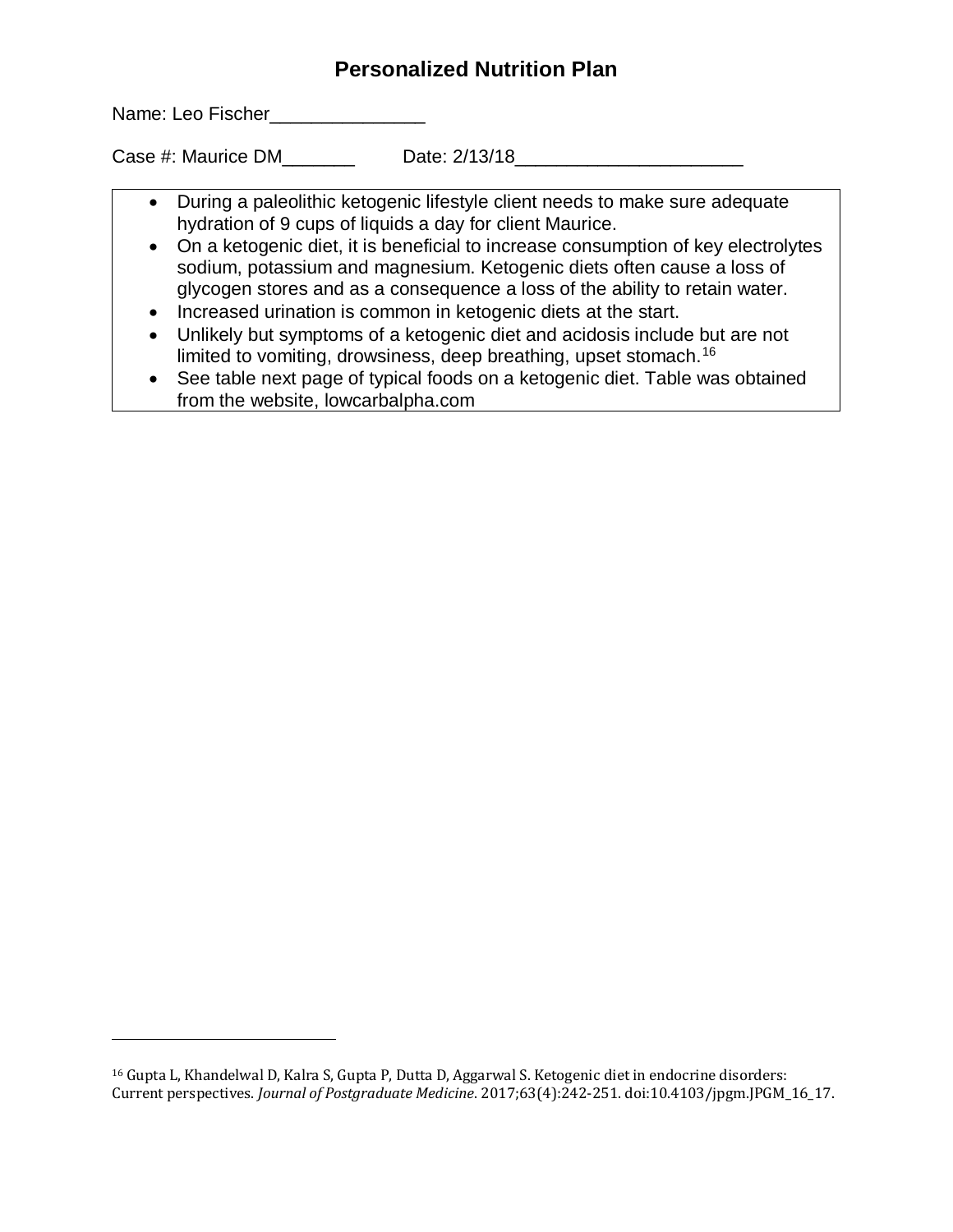Name: Leo Fischer\_\_\_\_\_\_\_\_\_\_\_\_\_\_\_\_\_

l

Case #: Maurice DM Date: 2/13/18

- During a paleolithic ketogenic lifestyle client needs to make sure adequate hydration of 9 cups of liquids a day for client Maurice.
- On a ketogenic diet, it is beneficial to increase consumption of key electrolytes sodium, potassium and magnesium. Ketogenic diets often cause a loss of glycogen stores and as a consequence a loss of the ability to retain water.
- Increased urination is common in ketogenic diets at the start.
- Unlikely but symptoms of a ketogenic diet and acidosis include but are not limited to vomiting, drowsiness, deep breathing, upset stomach.<sup>16</sup>
- See table next page of typical foods on a ketogenic diet. Table was obtained from the website, lowcarbalpha.com

<sup>16</sup> Gupta L, Khandelwal D, Kalra S, Gupta P, Dutta D, Aggarwal S. Ketogenic diet in endocrine disorders: Current perspectives. *Journal of Postgraduate Medicine*. 2017;63(4):242-251. doi:10.4103/jpgm.JPGM\_16\_17.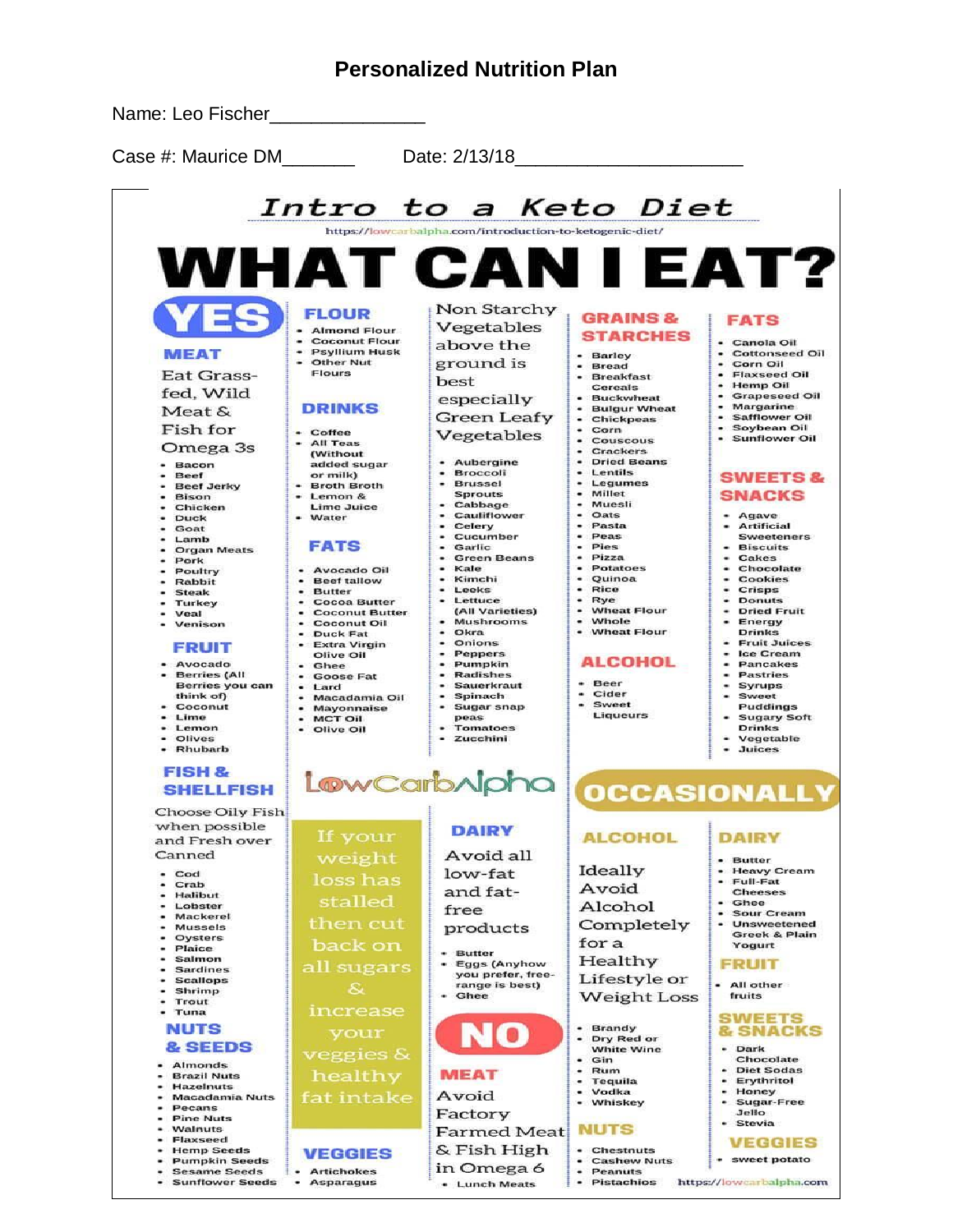

- Lunch Meats

a.

**Pistachios** 

**Sunflower Seeds** 

т.

Asparagus

https://lowcarbalpha.com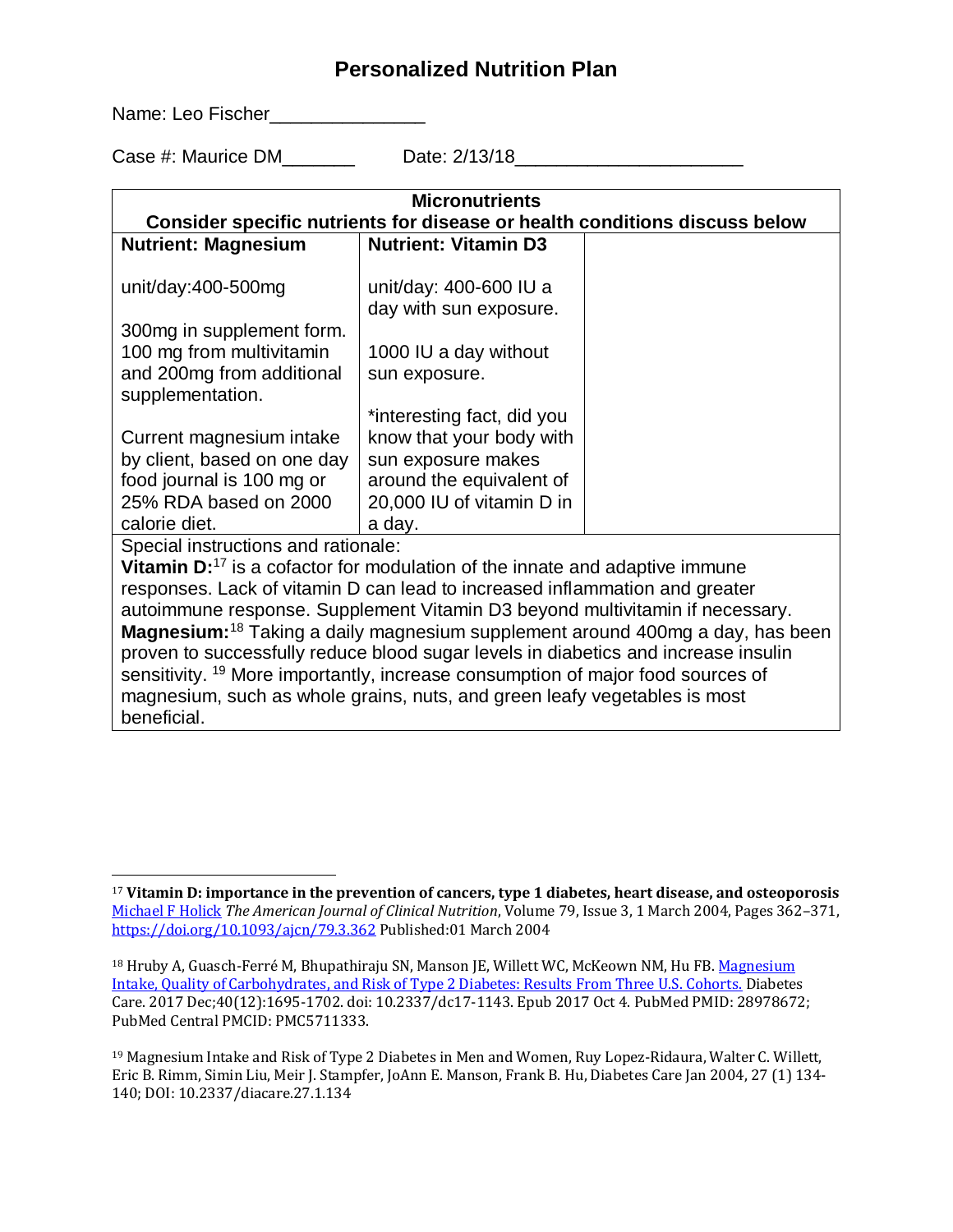Name: Leo Fischer\_\_\_\_\_\_\_\_\_\_\_\_\_\_\_\_\_

 $\overline{a}$ 

Case #: Maurice DM Date: 2/13/18

| <b>Micronutrients</b>                                                                      |                             |  |
|--------------------------------------------------------------------------------------------|-----------------------------|--|
| Consider specific nutrients for disease or health conditions discuss below                 |                             |  |
| <b>Nutrient: Magnesium</b>                                                                 | <b>Nutrient: Vitamin D3</b> |  |
|                                                                                            |                             |  |
| unit/day:400-500mg                                                                         | unit/day: 400-600 IU a      |  |
|                                                                                            | day with sun exposure.      |  |
| 300mg in supplement form.                                                                  |                             |  |
| 100 mg from multivitamin                                                                   | 1000 IU a day without       |  |
| and 200mg from additional                                                                  | sun exposure.               |  |
| supplementation.                                                                           |                             |  |
|                                                                                            | *interesting fact, did you  |  |
| Current magnesium intake                                                                   | know that your body with    |  |
| by client, based on one day                                                                | sun exposure makes          |  |
| food journal is 100 mg or                                                                  | around the equivalent of    |  |
| 25% RDA based on 2000                                                                      | 20,000 IU of vitamin D in   |  |
| calorie diet.                                                                              | a day.                      |  |
| Special instructions and rationale:                                                        |                             |  |
| Vitamin D: <sup>17</sup> is a cofactor for modulation of the innate and adaptive immune    |                             |  |
| responses. Lack of vitamin D can lead to increased inflammation and greater                |                             |  |
| autoimmune response. Supplement Vitamin D3 beyond multivitamin if necessary.               |                             |  |
| Magnesium: <sup>18</sup> Taking a daily magnesium supplement around 400mg a day, has been  |                             |  |
| proven to successfully reduce blood sugar levels in diabetics and increase insulin         |                             |  |
| sensitivity. <sup>19</sup> More importantly, increase consumption of major food sources of |                             |  |
| magnesium, such as whole grains, nuts, and green leafy vegetables is most                  |                             |  |
| beneficial.                                                                                |                             |  |

<sup>17</sup> **Vitamin D: importance in the prevention of cancers, type 1 diabetes, heart disease, and osteoporosis**  [Michael F Holick](javascript:;) *The American Journal of Clinical Nutrition*, Volume 79, Issue 3, 1 March 2004, Pages 362–371, <https://doi.org/10.1093/ajcn/79.3.362> Published:01 March 2004

<sup>&</sup>lt;sup>18</sup> Hruby A, Guasch-Ferré M, Bhupathiraju SN, Manson JE, Willett WC, McKeown NM, Hu FB. Magnesium [Intake, Quality of Carbohydrates, and Risk of Type 2 Diabetes: Results From Three U.S. Cohorts.](https://www.ncbi.nlm.nih.gov/pubmed/28978672) Diabetes Care. 2017 Dec;40(12):1695-1702. doi: 10.2337/dc17-1143. Epub 2017 Oct 4. PubMed PMID: 28978672; PubMed Central PMCID: PMC5711333.

<sup>19</sup> Magnesium Intake and Risk of Type 2 Diabetes in Men and Women, Ruy Lopez-Ridaura, Walter C. Willett, Eric B. Rimm, Simin Liu, Meir J. Stampfer, JoAnn E. Manson, Frank B. Hu, Diabetes Care Jan 2004, 27 (1) 134- 140; DOI: 10.2337/diacare.27.1.134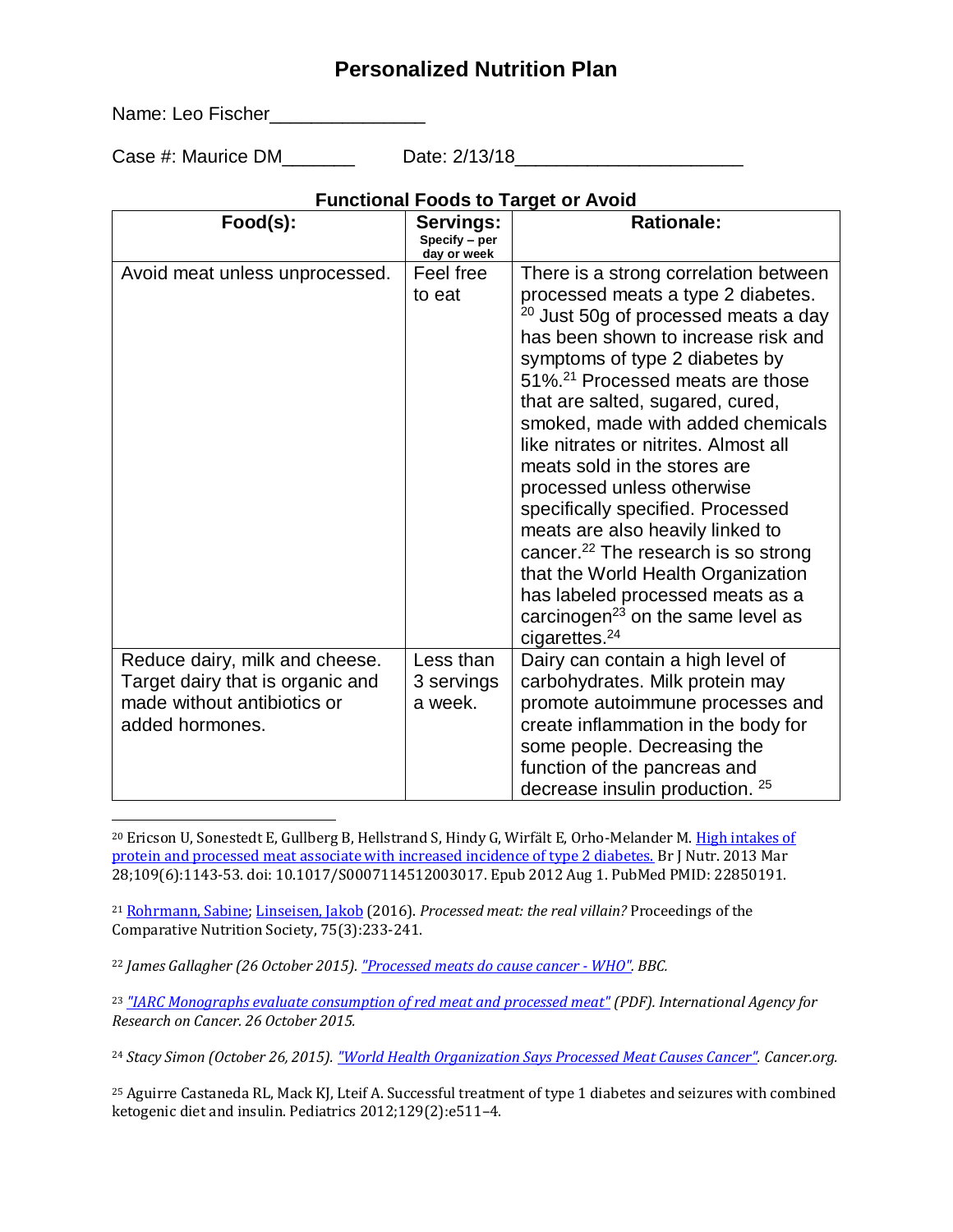Name: Leo Fischer\_\_\_\_\_\_\_\_\_\_\_\_\_\_\_

l

Case #: Maurice DM Case Date: 2/13/18

### **Functional Foods to Target or Avoid**

| Food(s):                                                                                                             | Servings:<br>Specify - per<br>day or week | <b>Rationale:</b>                                                                                                                                                                                                                                                                                                                                                                                                                                                                                                                                                                                                                                                                                                  |
|----------------------------------------------------------------------------------------------------------------------|-------------------------------------------|--------------------------------------------------------------------------------------------------------------------------------------------------------------------------------------------------------------------------------------------------------------------------------------------------------------------------------------------------------------------------------------------------------------------------------------------------------------------------------------------------------------------------------------------------------------------------------------------------------------------------------------------------------------------------------------------------------------------|
| Avoid meat unless unprocessed.                                                                                       | Feel free<br>to eat                       | There is a strong correlation between<br>processed meats a type 2 diabetes.<br><sup>20</sup> Just 50g of processed meats a day<br>has been shown to increase risk and<br>symptoms of type 2 diabetes by<br>51%. <sup>21</sup> Processed meats are those<br>that are salted, sugared, cured,<br>smoked, made with added chemicals<br>like nitrates or nitrites. Almost all<br>meats sold in the stores are<br>processed unless otherwise<br>specifically specified. Processed<br>meats are also heavily linked to<br>cancer. <sup>22</sup> The research is so strong<br>that the World Health Organization<br>has labeled processed meats as a<br>carcinogen <sup>23</sup> on the same level as<br>cigarettes. $24$ |
| Reduce dairy, milk and cheese.<br>Target dairy that is organic and<br>made without antibiotics or<br>added hormones. | Less than<br>3 servings<br>a week.        | Dairy can contain a high level of<br>carbohydrates. Milk protein may<br>promote autoimmune processes and<br>create inflammation in the body for<br>some people. Decreasing the<br>function of the pancreas and<br>decrease insulin production. 25                                                                                                                                                                                                                                                                                                                                                                                                                                                                  |

<sup>20</sup> Ericson U, Sonestedt E, Gullberg B, Hellstrand S, Hindy G, Wirfält E, Orho-Melander M. High intakes of [protein and processed meat associate with increased incidence of type 2 diabetes.](https://www.ncbi.nlm.nih.gov/pubmed/22850191) Br J Nutr. 2013 Mar 28;109(6):1143-53. doi: 10.1017/S0007114512003017. Epub 2012 Aug 1. PubMed PMID: 22850191.

<sup>21</sup> [Rohrmann, Sabine;](http://www.zora.uzh.ch/view/authors_for_linking_in_citation/Rohrmann=3ASabine=3A=3A.html) [Linseisen, Jakob](http://www.zora.uzh.ch/view/authors_for_linking_in_citation/Linseisen=3AJakob=3A=3A.html) (2016). *Processed meat: the real villain?* Proceedings of the Comparative Nutrition Society, 75(3):233-241.

<sup>22</sup> *James Gallagher (26 October 2015). ["Processed meats do cause cancer -](http://www.bbc.co.uk/news/health-34615621) WHO". BBC.*

<sup>23</sup> *["IARC Monographs evaluate consumption of red meat and processed meat"](https://www.iarc.fr/en/media-centre/pr/2015/pdfs/pr240_E.pdf) (PDF). International Agency for Research on Cancer. 26 October 2015.*

<sup>24</sup> *Stacy Simon (October 26, 2015). ["World Health Organization Says Processed Meat Causes Cancer".](http://www.cancer.org/cancer/news/news/world-health-organization-says-processed-meat-causes-cancer) Cancer.org.*

<sup>25</sup> Aguirre Castaneda RL, Mack KJ, Lteif A. Successful treatment of type 1 diabetes and seizures with combined ketogenic diet and insulin. Pediatrics 2012;129(2):e511–4.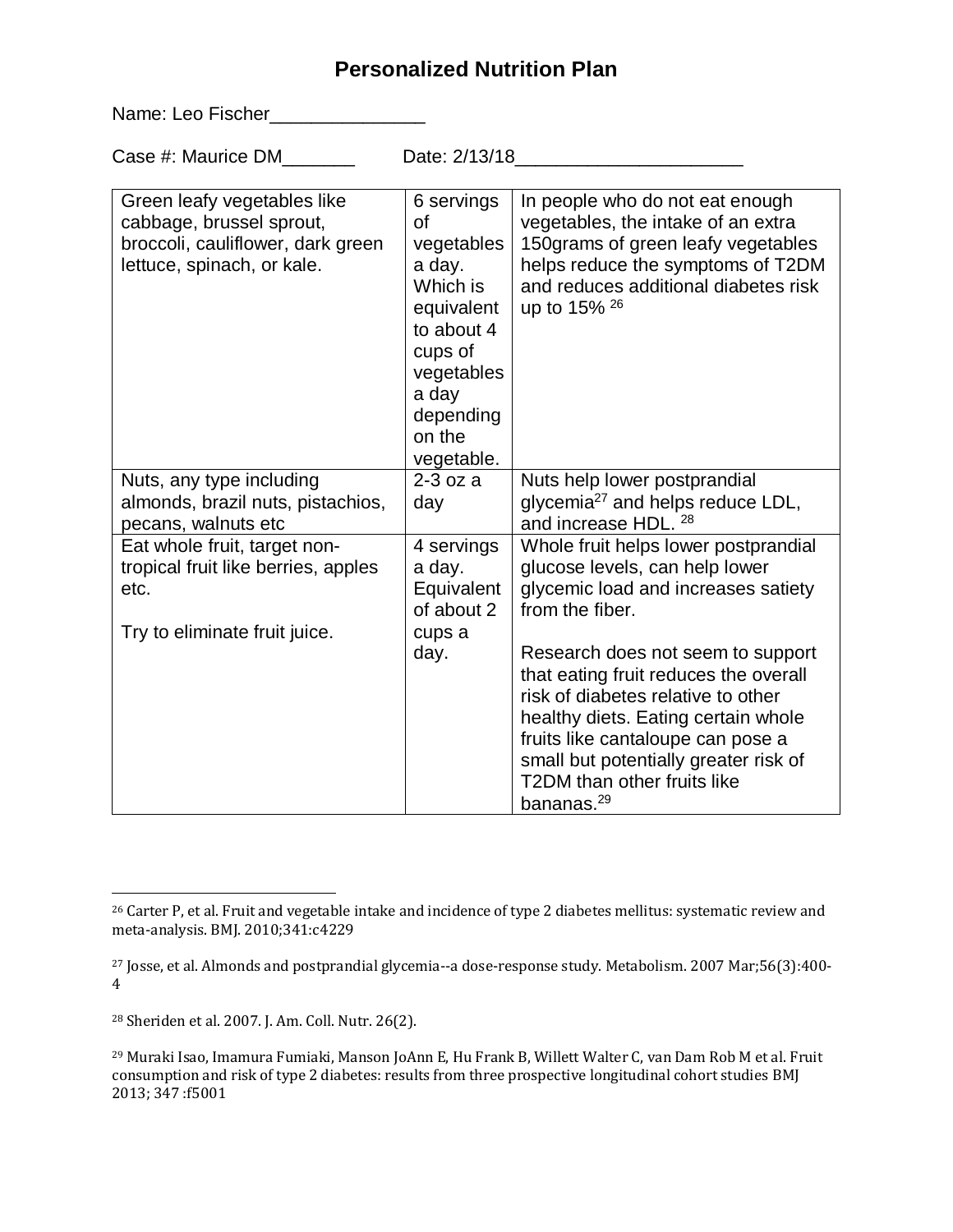Name: Leo Fischer\_\_\_\_\_\_\_\_\_\_\_\_\_\_\_\_\_

Case #: Maurice DM\_\_\_\_\_\_\_ Date: 2/13/18\_\_\_\_\_\_\_\_\_\_\_\_\_\_\_\_\_\_\_\_\_\_

| Green leafy vegetables like<br>cabbage, brussel sprout,<br>broccoli, cauliflower, dark green<br>lettuce, spinach, or kale. | 6 servings<br>οf<br>vegetables<br>a day.<br>Which is<br>equivalent<br>to about 4<br>cups of<br>vegetables<br>a day<br>depending<br>on the<br>vegetable. | In people who do not eat enough<br>vegetables, the intake of an extra<br>150grams of green leafy vegetables<br>helps reduce the symptoms of T2DM<br>and reduces additional diabetes risk<br>up to 15% 26 |
|----------------------------------------------------------------------------------------------------------------------------|---------------------------------------------------------------------------------------------------------------------------------------------------------|----------------------------------------------------------------------------------------------------------------------------------------------------------------------------------------------------------|
| Nuts, any type including                                                                                                   | $2-3$ oz a                                                                                                                                              | Nuts help lower postprandial                                                                                                                                                                             |
| almonds, brazil nuts, pistachios,<br>pecans, walnuts etc                                                                   | day                                                                                                                                                     | glycemia <sup>27</sup> and helps reduce LDL,<br>and increase HDL, 28                                                                                                                                     |
| Eat whole fruit, target non-                                                                                               | 4 servings                                                                                                                                              | Whole fruit helps lower postprandial                                                                                                                                                                     |
| tropical fruit like berries, apples                                                                                        | a day.                                                                                                                                                  | glucose levels, can help lower                                                                                                                                                                           |
| etc.                                                                                                                       | Equivalent<br>of about 2                                                                                                                                | glycemic load and increases satiety<br>from the fiber.                                                                                                                                                   |
| Try to eliminate fruit juice.                                                                                              | cups a                                                                                                                                                  |                                                                                                                                                                                                          |
|                                                                                                                            | day.                                                                                                                                                    | Research does not seem to support                                                                                                                                                                        |
|                                                                                                                            |                                                                                                                                                         | that eating fruit reduces the overall                                                                                                                                                                    |
|                                                                                                                            |                                                                                                                                                         | risk of diabetes relative to other                                                                                                                                                                       |
|                                                                                                                            |                                                                                                                                                         | healthy diets. Eating certain whole                                                                                                                                                                      |
|                                                                                                                            |                                                                                                                                                         | fruits like cantaloupe can pose a<br>small but potentially greater risk of                                                                                                                               |
|                                                                                                                            |                                                                                                                                                         | T2DM than other fruits like                                                                                                                                                                              |
|                                                                                                                            |                                                                                                                                                         | bananas. <sup>29</sup>                                                                                                                                                                                   |

<sup>28</sup> Sheriden et al. 2007. J. Am. Coll. Nutr. 26(2).

 $\overline{a}$ <sup>26</sup> Carter P, et al. Fruit and vegetable intake and incidence of type 2 diabetes mellitus: systematic review and meta-analysis. BMJ. 2010;341:c4229

<sup>27</sup> Josse, et al. Almonds and postprandial glycemia--a dose-response study. Metabolism. 2007 Mar;56(3):400- 4

<sup>29</sup> Muraki Isao, Imamura Fumiaki, Manson JoAnn E, Hu Frank B, Willett Walter C, van Dam Rob M et al. Fruit consumption and risk of type 2 diabetes: results from three prospective longitudinal cohort studies BMJ 2013; 347 :f5001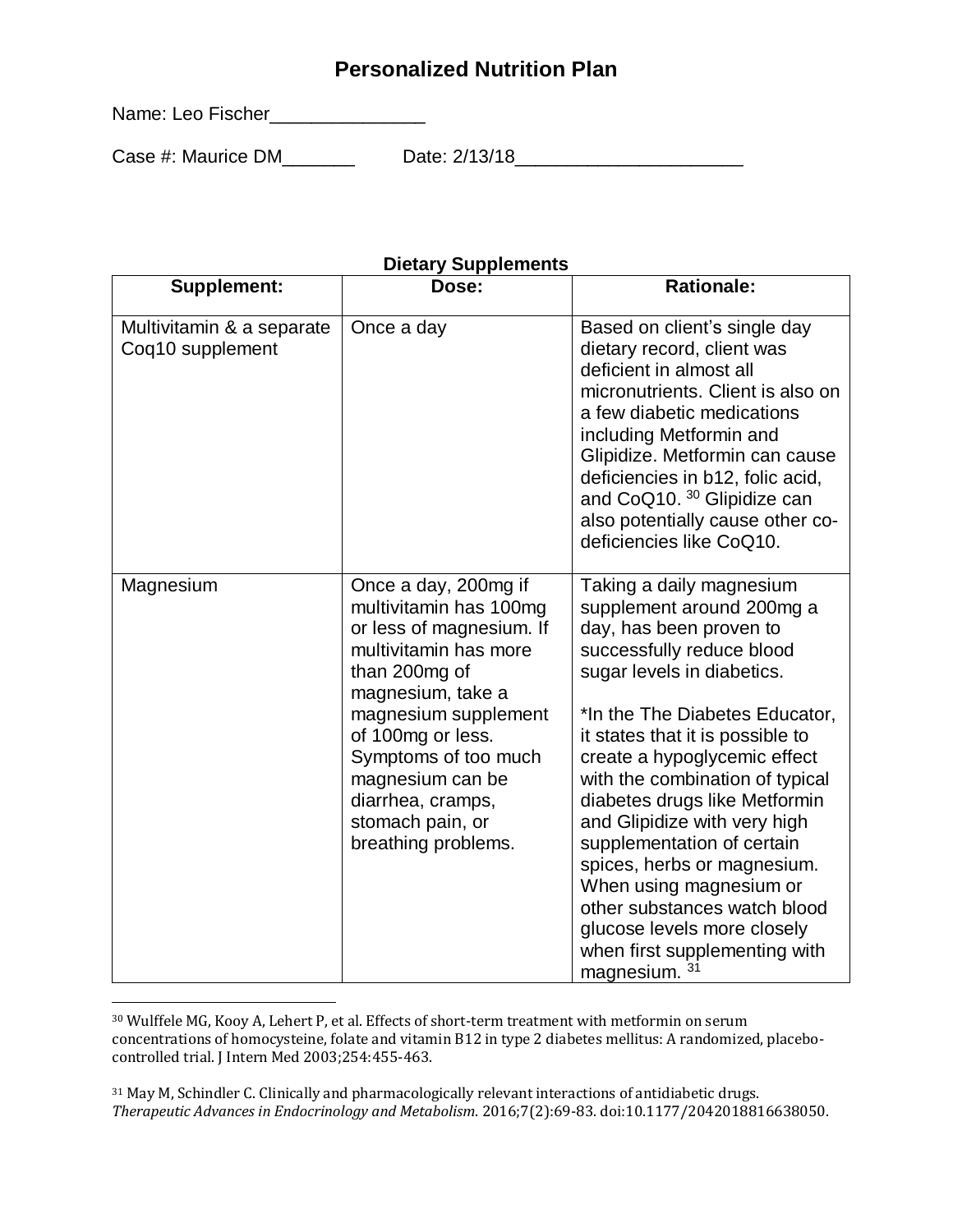Name: Leo Fischer\_\_\_\_\_\_\_\_\_\_\_\_\_\_\_\_\_

 $\overline{a}$ 

Case #: Maurice DM\_\_\_\_\_\_\_ Date: 2/13/18\_\_\_\_\_\_\_\_\_\_\_\_\_\_\_\_\_\_\_\_\_\_

| Supplement:                                   | Dose:                                                                                                                                                 | <b>Rationale:</b>                                                                                                                                                                                                                                                                                                                                                                                               |
|-----------------------------------------------|-------------------------------------------------------------------------------------------------------------------------------------------------------|-----------------------------------------------------------------------------------------------------------------------------------------------------------------------------------------------------------------------------------------------------------------------------------------------------------------------------------------------------------------------------------------------------------------|
| Multivitamin & a separate<br>Coq10 supplement | Once a day                                                                                                                                            | Based on client's single day<br>dietary record, client was<br>deficient in almost all<br>micronutrients. Client is also on<br>a few diabetic medications<br>including Metformin and<br>Glipidize. Metformin can cause<br>deficiencies in b12, folic acid,<br>and CoQ10. 30 Glipidize can<br>also potentially cause other co-<br>deficiencies like CoQ10.                                                        |
| Magnesium                                     | Once a day, 200mg if<br>multivitamin has 100mg<br>or less of magnesium. If<br>multivitamin has more<br>than 200mg of<br>magnesium, take a             | Taking a daily magnesium<br>supplement around 200mg a<br>day, has been proven to<br>successfully reduce blood<br>sugar levels in diabetics.                                                                                                                                                                                                                                                                     |
|                                               | magnesium supplement<br>of 100mg or less.<br>Symptoms of too much<br>magnesium can be<br>diarrhea, cramps,<br>stomach pain, or<br>breathing problems. | *In the The Diabetes Educator,<br>it states that it is possible to<br>create a hypoglycemic effect<br>with the combination of typical<br>diabetes drugs like Metformin<br>and Glipidize with very high<br>supplementation of certain<br>spices, herbs or magnesium.<br>When using magnesium or<br>other substances watch blood<br>glucose levels more closely<br>when first supplementing with<br>magnesium. 31 |

#### **Dietary Supplements**

<sup>30</sup> Wulffele MG, Kooy A, Lehert P, et al. Effects of short-term treatment with metformin on serum concentrations of homocysteine, folate and vitamin B12 in type 2 diabetes mellitus: A randomized, placebocontrolled trial. J Intern Med 2003;254:455-463.

<sup>31</sup> May M, Schindler C. Clinically and pharmacologically relevant interactions of antidiabetic drugs. *Therapeutic Advances in Endocrinology and Metabolism*. 2016;7(2):69-83. doi:10.1177/2042018816638050.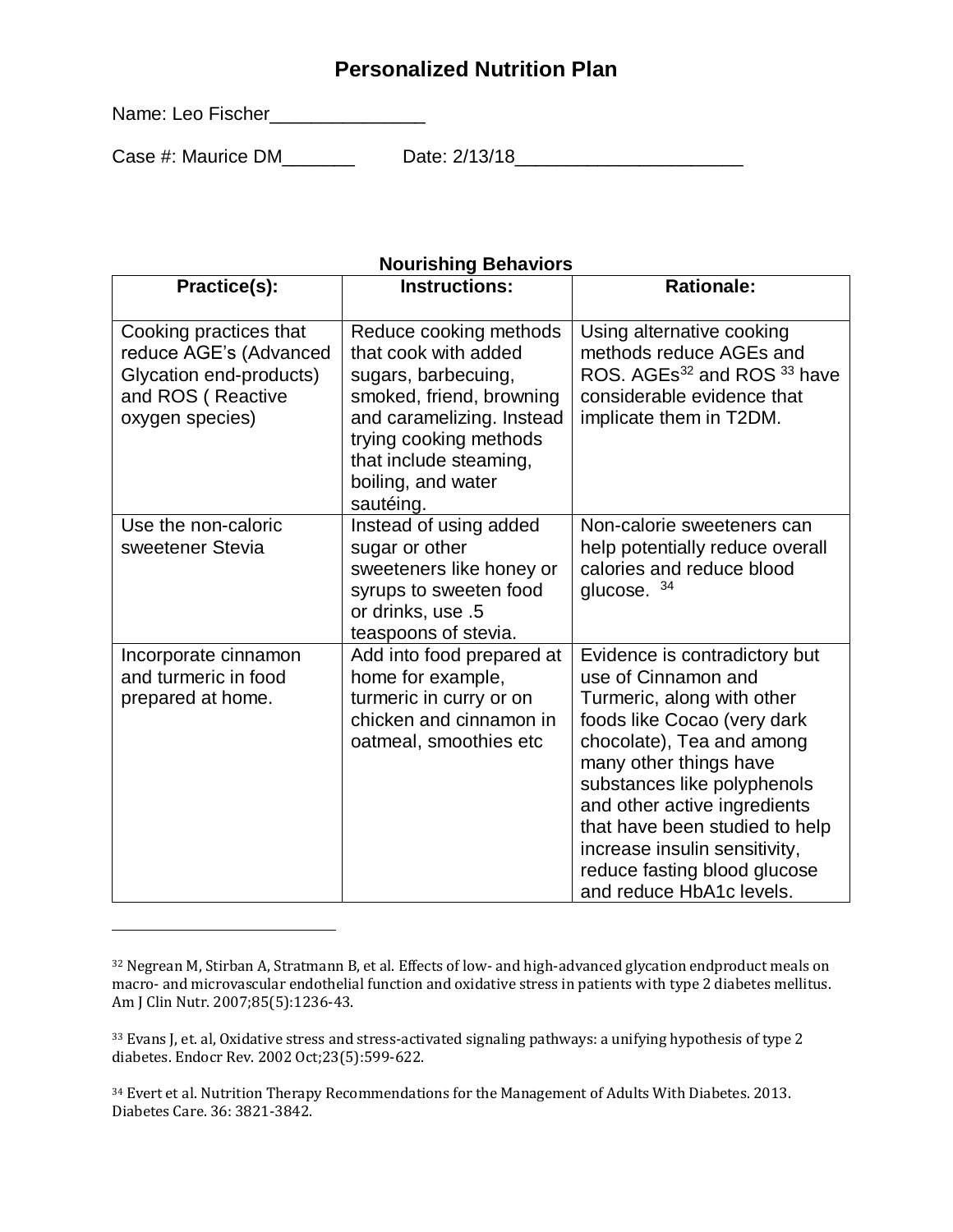Name: Leo Fischer\_\_\_\_\_\_\_\_\_\_\_\_\_\_\_\_\_\_

 $\overline{a}$ 

Case #: Maurice DM\_\_\_\_\_\_\_ Date: 2/13/18\_\_\_\_\_\_\_\_\_\_\_\_\_\_\_\_\_\_\_\_\_\_

#### **Nourishing Behaviors**

| Practice(s):                                                                                                        | <b>Instructions:</b>                                                                                                                                                                                                  | <b>Rationale:</b>                                                                                                                                                                                                                                                                                                                                                      |
|---------------------------------------------------------------------------------------------------------------------|-----------------------------------------------------------------------------------------------------------------------------------------------------------------------------------------------------------------------|------------------------------------------------------------------------------------------------------------------------------------------------------------------------------------------------------------------------------------------------------------------------------------------------------------------------------------------------------------------------|
| Cooking practices that<br>reduce AGE's (Advanced<br>Glycation end-products)<br>and ROS (Reactive<br>oxygen species) | Reduce cooking methods<br>that cook with added<br>sugars, barbecuing,<br>smoked, friend, browning<br>and caramelizing. Instead<br>trying cooking methods<br>that include steaming,<br>boiling, and water<br>sautéing. | Using alternative cooking<br>methods reduce AGEs and<br>ROS. AGEs <sup>32</sup> and ROS <sup>33</sup> have<br>considerable evidence that<br>implicate them in T2DM.                                                                                                                                                                                                    |
| Use the non-caloric<br>sweetener Stevia                                                                             | Instead of using added<br>sugar or other<br>sweeteners like honey or<br>syrups to sweeten food<br>or drinks, use .5<br>teaspoons of stevia.                                                                           | Non-calorie sweeteners can<br>help potentially reduce overall<br>calories and reduce blood<br>glucose. 34                                                                                                                                                                                                                                                              |
| Incorporate cinnamon<br>and turmeric in food<br>prepared at home.                                                   | Add into food prepared at<br>home for example,<br>turmeric in curry or on<br>chicken and cinnamon in<br>oatmeal, smoothies etc                                                                                        | Evidence is contradictory but<br>use of Cinnamon and<br>Turmeric, along with other<br>foods like Cocao (very dark<br>chocolate), Tea and among<br>many other things have<br>substances like polyphenols<br>and other active ingredients<br>that have been studied to help<br>increase insulin sensitivity,<br>reduce fasting blood glucose<br>and reduce HbA1c levels. |

<sup>32</sup> Negrean M, Stirban A, Stratmann B, et al. Effects of low- and high-advanced glycation endproduct meals on macro- and microvascular endothelial function and oxidative stress in patients with type 2 diabetes mellitus. Am J Clin Nutr. 2007;85(5):1236-43.

<sup>33</sup> Evans J, et. al, Oxidative stress and stress-activated signaling pathways: a unifying hypothesis of type 2 diabetes. Endocr Rev. 2002 Oct;23(5):599-622.

<sup>&</sup>lt;sup>34</sup> Evert et al. Nutrition Therapy Recommendations for the Management of Adults With Diabetes. 2013. Diabetes Care. 36: 3821-3842.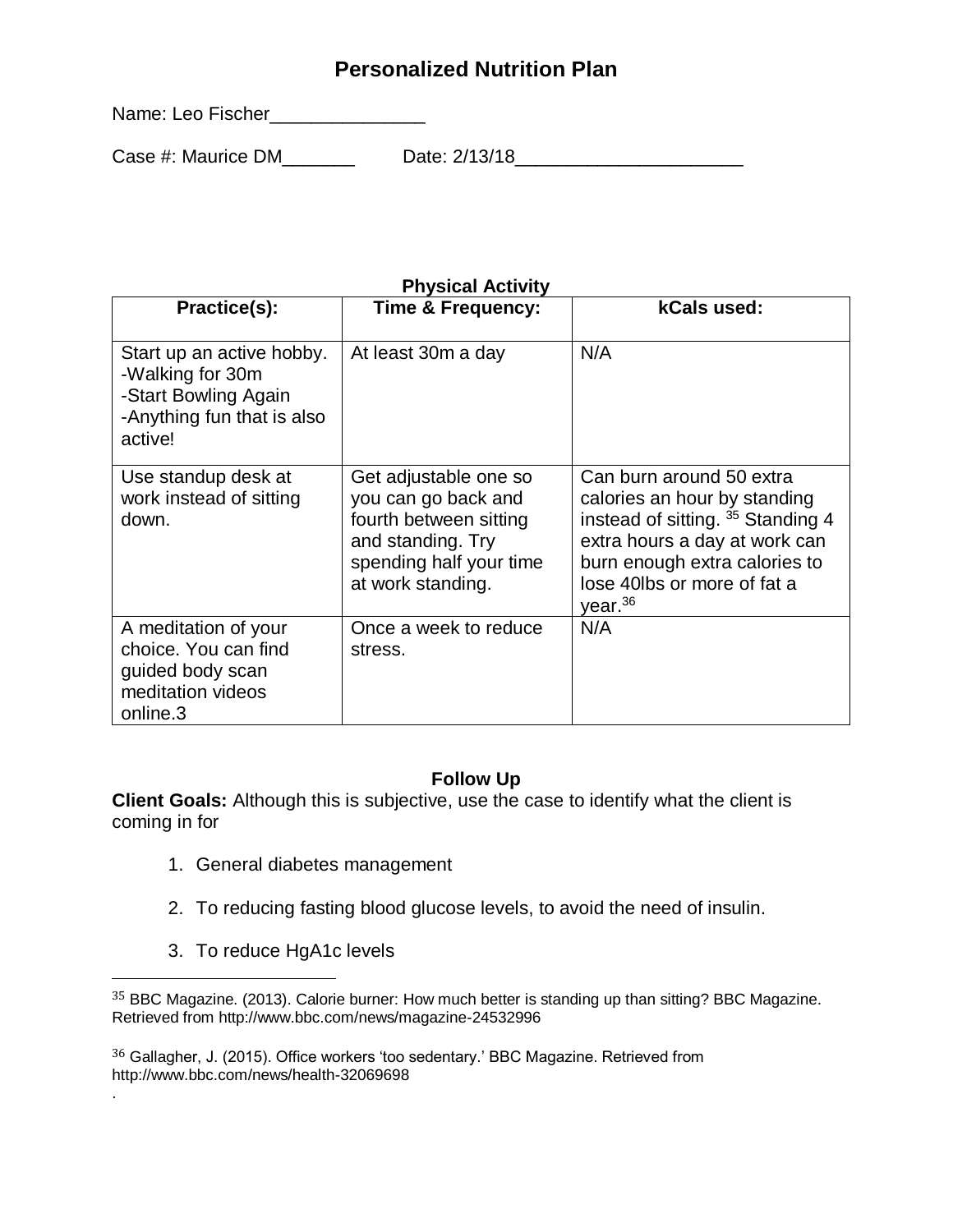Name: Leo Fischer\_\_\_\_\_\_\_\_\_\_\_\_\_\_\_

Case #: Maurice DM\_\_\_\_\_\_\_ Date: 2/13/18\_\_\_\_\_\_\_\_\_\_\_\_\_\_\_\_\_\_\_\_\_\_

| Practice(s):                                                                                                   | Time & Frequency:                                                                                                                           | kCals used:                                                                                                                                                                                                          |
|----------------------------------------------------------------------------------------------------------------|---------------------------------------------------------------------------------------------------------------------------------------------|----------------------------------------------------------------------------------------------------------------------------------------------------------------------------------------------------------------------|
| Start up an active hobby.<br>-Walking for 30m<br>-Start Bowling Again<br>-Anything fun that is also<br>active! | At least 30m a day                                                                                                                          | N/A                                                                                                                                                                                                                  |
| Use standup desk at<br>work instead of sitting<br>down.                                                        | Get adjustable one so<br>you can go back and<br>fourth between sitting<br>and standing. Try<br>spending half your time<br>at work standing. | Can burn around 50 extra<br>calories an hour by standing<br>instead of sitting. 35 Standing 4<br>extra hours a day at work can<br>burn enough extra calories to<br>lose 40lbs or more of fat a<br>year <sup>36</sup> |
| A meditation of your<br>choice. You can find<br>guided body scan<br>meditation videos<br>online.3              | Once a week to reduce<br>stress.                                                                                                            | N/A                                                                                                                                                                                                                  |

#### **Physical Activity**

#### **Follow Up**

**Client Goals:** Although this is subjective, use the case to identify what the client is coming in for

- 1. General diabetes management
- 2. To reducing fasting blood glucose levels, to avoid the need of insulin.
- 3. To reduce HgA1c levels

 $\overline{a}$ 

.

<sup>36</sup> Gallagher, J. (2015). Office workers 'too sedentary.' BBC Magazine. Retrieved from http://www.bbc.com/news/health-32069698

<sup>35</sup> BBC Magazine. (2013). Calorie burner: How much better is standing up than sitting? BBC Magazine. Retrieved from http://www.bbc.com/news/magazine-24532996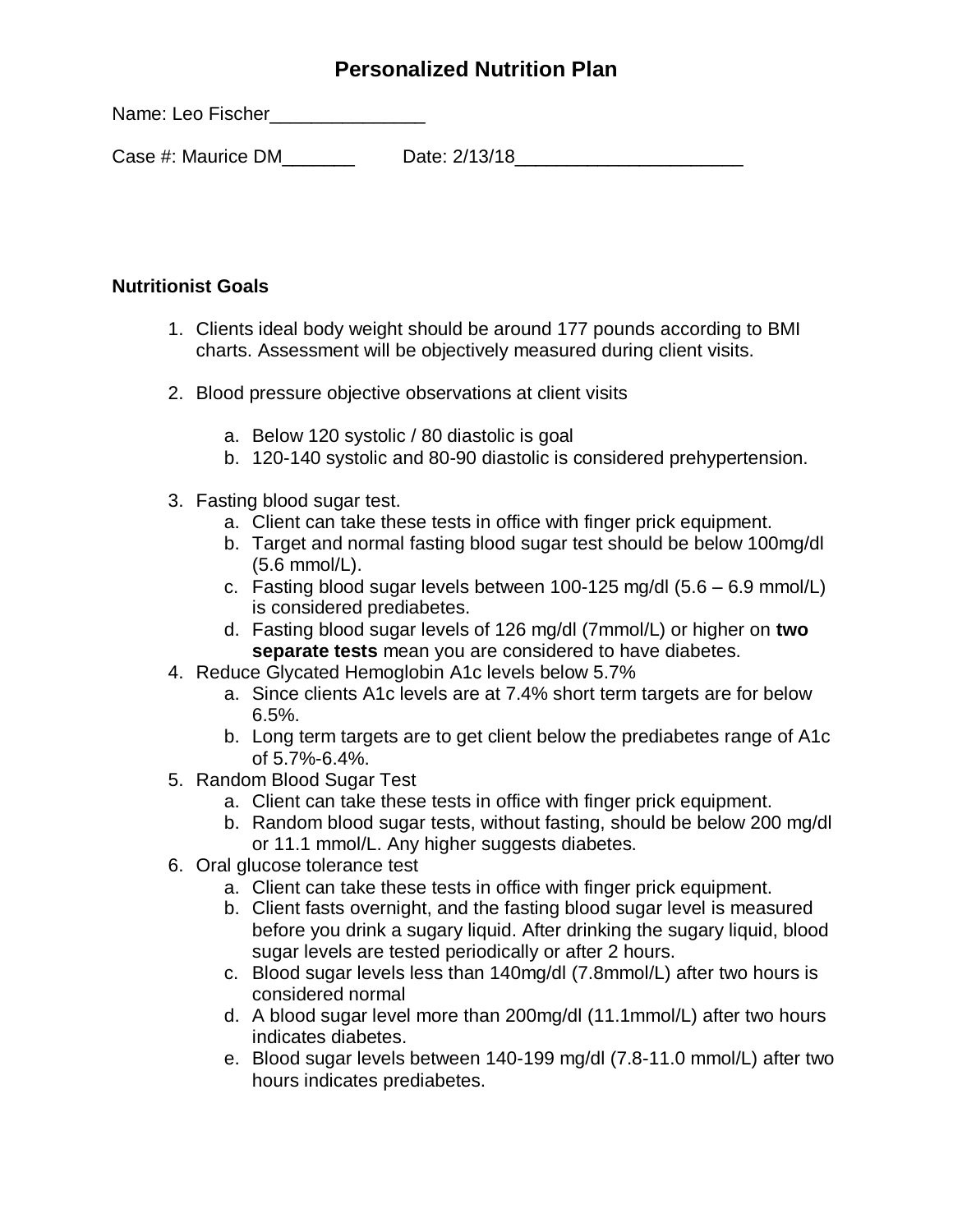Name: Leo Fischer\_\_\_\_\_\_\_\_\_\_\_\_\_\_\_\_\_

Case #: Maurice DM\_\_\_\_\_\_\_ Date: 2/13/18\_\_\_\_\_\_\_\_\_\_\_\_\_\_\_\_\_\_\_\_\_\_

#### **Nutritionist Goals**

- 1. Clients ideal body weight should be around 177 pounds according to BMI charts. Assessment will be objectively measured during client visits.
- 2. Blood pressure objective observations at client visits
	- a. Below 120 systolic / 80 diastolic is goal
	- b. 120-140 systolic and 80-90 diastolic is considered prehypertension.
- 3. Fasting blood sugar test.
	- a. Client can take these tests in office with finger prick equipment.
	- b. Target and normal fasting blood sugar test should be below 100mg/dl (5.6 mmol/L).
	- c. Fasting blood sugar levels between 100-125 mg/dl (5.6 6.9 mmol/L) is considered prediabetes.
	- d. Fasting blood sugar levels of 126 mg/dl (7mmol/L) or higher on **two separate tests** mean you are considered to have diabetes.
- 4. Reduce Glycated Hemoglobin A1c levels below 5.7%
	- a. Since clients A1c levels are at 7.4% short term targets are for below 6.5%.
	- b. Long term targets are to get client below the prediabetes range of A1c of 5.7%-6.4%.
- 5. Random Blood Sugar Test
	- a. Client can take these tests in office with finger prick equipment.
	- b. Random blood sugar tests, without fasting, should be below 200 mg/dl or 11.1 mmol/L. Any higher suggests diabetes.
- 6. Oral glucose tolerance test
	- a. Client can take these tests in office with finger prick equipment.
	- b. Client fasts overnight, and the fasting blood sugar level is measured before you drink a sugary liquid. After drinking the sugary liquid, blood sugar levels are tested periodically or after 2 hours.
	- c. Blood sugar levels less than 140mg/dl (7.8mmol/L) after two hours is considered normal
	- d. A blood sugar level more than 200mg/dl (11.1mmol/L) after two hours indicates diabetes.
	- e. Blood sugar levels between 140-199 mg/dl (7.8-11.0 mmol/L) after two hours indicates prediabetes.